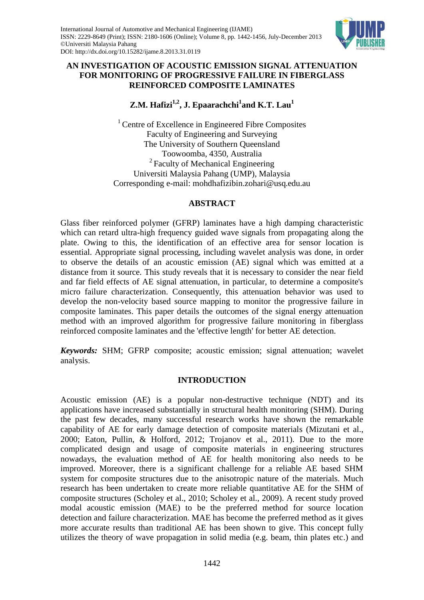

# **AN INVESTIGATION OF ACOUSTIC EMISSION SIGNAL ATTENUATION FOR MONITORING OF PROGRESSIVE FAILURE IN FIBERGLASS REINFORCED COMPOSITE LAMINATES**

**Z.M. Hafizi1,2, J. Epaarachchi<sup>1</sup> and K.T. Lau<sup>1</sup>**

<sup>1</sup> Centre of Excellence in Engineered Fibre Composites Faculty of Engineering and Surveying The University of Southern Queensland Toowoomba, 4350, Australia <sup>2</sup> Faculty of Mechanical Engineering Universiti Malaysia Pahang (UMP), Malaysia Corresponding e-mail: mohdhafizibin.zohari@usq.edu.au

# **ABSTRACT**

Glass fiber reinforced polymer (GFRP) laminates have a high damping characteristic which can retard ultra-high frequency guided wave signals from propagating along the plate. Owing to this, the identification of an effective area for sensor location is essential. Appropriate signal processing, including wavelet analysis was done, in order to observe the details of an acoustic emission (AE) signal which was emitted at a distance from it source. This study reveals that it is necessary to consider the near field and far field effects of AE signal attenuation, in particular, to determine a composite's micro failure characterization. Consequently, this attenuation behavior was used to develop the non-velocity based source mapping to monitor the progressive failure in composite laminates. This paper details the outcomes of the signal energy attenuation method with an improved algorithm for progressive failure monitoring in fiberglass reinforced composite laminates and the 'effective length' for better AE detection.

*Keywords:* SHM; GFRP composite; acoustic emission; signal attenuation; wavelet analysis.

# **INTRODUCTION**

Acoustic emission (AE) is a popular non-destructive technique (NDT) and its applications have increased substantially in structural health monitoring (SHM). During the past few decades, many successful research works have shown the remarkable capability of AE for early damage detection of composite materials (Mizutani et al., 2000; Eaton, Pullin, & Holford, 2012; Trojanov et al., 2011). Due to the more complicated design and usage of composite materials in engineering structures nowadays, the evaluation method of AE for health monitoring also needs to be improved. Moreover, there is a significant challenge for a reliable AE based SHM system for composite structures due to the anisotropic nature of the materials. Much research has been undertaken to create more reliable quantitative AE for the SHM of composite structures (Scholey et al., 2010; Scholey et al., 2009). A recent study proved modal acoustic emission (MAE) to be the preferred method for source location detection and failure characterization. MAE has become the preferred method as it gives more accurate results than traditional AE has been shown to give. This concept fully utilizes the theory of wave propagation in solid media (e.g. beam, thin plates etc.) and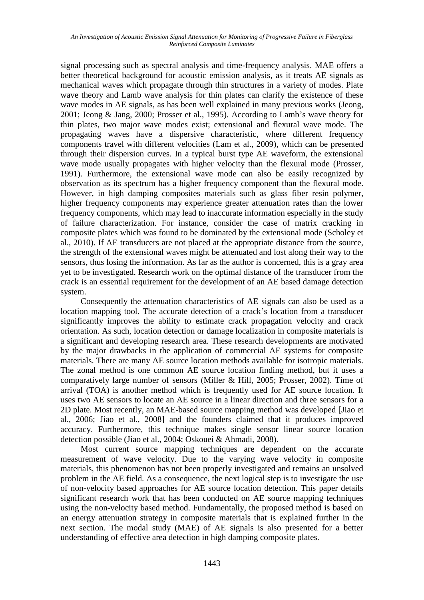signal processing such as spectral analysis and time-frequency analysis. MAE offers a better theoretical background for acoustic emission analysis, as it treats AE signals as mechanical waves which propagate through thin structures in a variety of modes. Plate wave theory and Lamb wave analysis for thin plates can clarify the existence of these wave modes in AE signals, as has been well explained in many previous works (Jeong, 2001; Jeong & Jang, 2000; Prosser et al., 1995). According to Lamb's wave theory for thin plates, two major wave modes exist; extensional and flexural wave mode. The propagating waves have a dispersive characteristic, where different frequency components travel with different velocities (Lam et al., 2009), which can be presented through their dispersion curves. In a typical burst type AE waveform, the extensional wave mode usually propagates with higher velocity than the flexural mode (Prosser, 1991). Furthermore, the extensional wave mode can also be easily recognized by observation as its spectrum has a higher frequency component than the flexural mode. However, in high damping composites materials such as glass fiber resin polymer, higher frequency components may experience greater attenuation rates than the lower frequency components, which may lead to inaccurate information especially in the study of failure characterization. For instance, consider the case of matrix cracking in composite plates which was found to be dominated by the extensional mode (Scholey et al., 2010). If AE transducers are not placed at the appropriate distance from the source, the strength of the extensional waves might be attenuated and lost along their way to the sensors, thus losing the information. As far as the author is concerned, this is a gray area yet to be investigated. Research work on the optimal distance of the transducer from the crack is an essential requirement for the development of an AE based damage detection system.

Consequently the attenuation characteristics of AE signals can also be used as a location mapping tool. The accurate detection of a crack's location from a transducer significantly improves the ability to estimate crack propagation velocity and crack orientation. As such, location detection or damage localization in composite materials is a significant and developing research area. These research developments are motivated by the major drawbacks in the application of commercial AE systems for composite materials. There are many AE source location methods available for isotropic materials. The zonal method is one common AE source location finding method, but it uses a comparatively large number of sensors (Miller & Hill, 2005; Prosser, 2002). Time of arrival (TOA) is another method which is frequently used for AE source location. It uses two AE sensors to locate an AE source in a linear direction and three sensors for a 2D plate. Most recently, an MAE-based source mapping method was developed [Jiao et al., 2006; Jiao et al., 2008] and the founders claimed that it produces improved accuracy. Furthermore, this technique makes single sensor linear source location detection possible (Jiao et al., 2004; Oskouei & Ahmadi, 2008).

Most current source mapping techniques are dependent on the accurate measurement of wave velocity. Due to the varying wave velocity in composite materials, this phenomenon has not been properly investigated and remains an unsolved problem in the AE field. As a consequence, the next logical step is to investigate the use of non-velocity based approaches for AE source location detection. This paper details significant research work that has been conducted on AE source mapping techniques using the non-velocity based method. Fundamentally, the proposed method is based on an energy attenuation strategy in composite materials that is explained further in the next section. The modal study (MAE) of AE signals is also presented for a better understanding of effective area detection in high damping composite plates.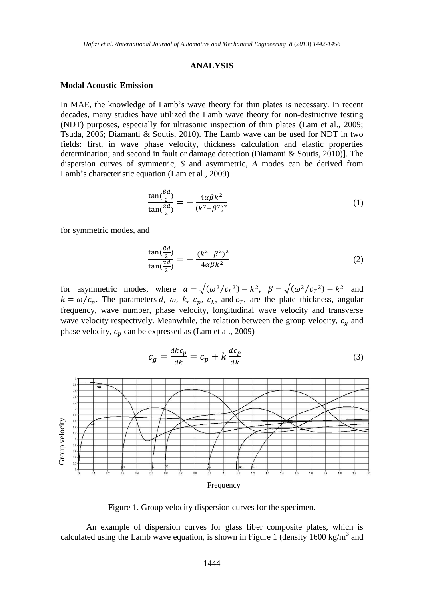### **ANALYSIS**

## **Modal Acoustic Emission**

In MAE, the knowledge of Lamb's wave theory for thin plates is necessary. In recent decades, many studies have utilized the Lamb wave theory for non-destructive testing (NDT) purposes, especially for ultrasonic inspection of thin plates (Lam et al., 2009; Tsuda, 2006; Diamanti & Soutis, 2010). The Lamb wave can be used for NDT in two fields: first, in wave phase velocity, thickness calculation and elastic properties determination; and second in fault or damage detection (Diamanti & Soutis, 2010)]. The dispersion curves of symmetric, *S* and asymmetric, *A* modes can be derived from Lamb's characteristic equation (Lam et al., 2009)

$$
\frac{\tan(\frac{\beta d}{2})}{\tan(\frac{\alpha d}{2})} = -\frac{4\alpha\beta k^2}{(k^2 - \beta^2)^2}
$$
\n(1)

for symmetric modes, and

$$
\frac{\tan(\frac{\beta d}{2})}{\tan(\frac{\alpha d}{2})} = -\frac{(k^2 - \beta^2)^2}{4\alpha\beta k^2} \tag{2}
$$

for asymmetric modes, where  $\alpha = \sqrt{(\omega^2/c_L^2) - k^2}$ ,  $\beta = \sqrt{(\omega^2/c_T^2) - k^2}$  and  $k = \omega/c_p$ . The parameters d,  $\omega$ , k,  $c_p$ ,  $c_l$ , and  $c_r$ , are the plate thickness, angular frequency, wave number, phase velocity, longitudinal wave velocity and transverse wave velocity respectively. Meanwhile, the relation between the group velocity,  $c_q$  and phase velocity,  $c_p$  can be expressed as (Lam et al., 2009)



 $c_a = \frac{d}{b}$  $\frac{d k c_p}{d k} = c_p + k \frac{d}{d}$  $\boldsymbol{d}$ (3)

Figure 1. Group velocity dispersion curves for the specimen.

An example of dispersion curves for glass fiber composite plates, which is calculated using the Lamb wave equation, is shown in Figure 1 (density 1600 kg/m<sup>3</sup> and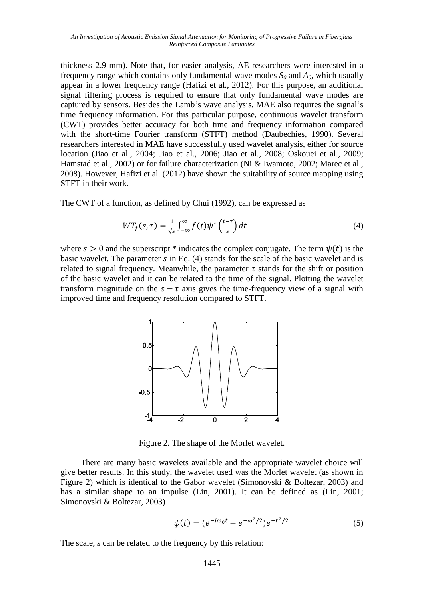thickness 2.9 mm). Note that, for easier analysis, AE researchers were interested in a frequency range which contains only fundamental wave modes  $S_0$  and  $A_0$ , which usually appear in a lower frequency range (Hafizi et al., 2012). For this purpose, an additional signal filtering process is required to ensure that only fundamental wave modes are captured by sensors. Besides the Lamb's wave analysis, MAE also requires the signal's time frequency information. For this particular purpose, continuous wavelet transform (CWT) provides better accuracy for both time and frequency information compared with the short-time Fourier transform (STFT) method (Daubechies, 1990). Several researchers interested in MAE have successfully used wavelet analysis, either for source location (Jiao et al., 2004; Jiao et al., 2006; Jiao et al., 2008; Oskouei et al., 2009; Hamstad et al., 2002) or for failure characterization (Ni & Iwamoto, 2002; Marec et al., 2008). However, Hafizi et al. (2012) have shown the suitability of source mapping using STFT in their work.

The CWT of a function, as defined by Chui (1992), can be expressed as

$$
WT_f(s,\tau) = \frac{1}{\sqrt{s}} \int_{-\infty}^{\infty} f(t) \psi^* \left(\frac{t-\tau}{s}\right) dt \tag{4}
$$

where  $s > 0$  and the superscript \* indicates the complex conjugate. The term  $\psi(t)$  is the basic wavelet. The parameter  $s$  in Eq. (4) stands for the scale of the basic wavelet and is related to signal frequency. Meanwhile, the parameter  $\tau$  stands for the shift or position of the basic wavelet and it can be related to the time of the signal. Plotting the wavelet transform magnitude on the  $s - \tau$  axis gives the time-frequency view of a signal with improved time and frequency resolution compared to STFT.



Figure 2. The shape of the Morlet wavelet.

There are many basic wavelets available and the appropriate wavelet choice will give better results. In this study, the wavelet used was the Morlet wavelet (as shown in Figure 2) which is identical to the Gabor wavelet (Simonovski & Boltezar, 2003) and has a similar shape to an impulse (Lin, 2001). It can be defined as (Lin, 2001; Simonovski & Boltezar, 2003)

$$
\psi(t) = (e^{-i\omega_0 t} - e^{-\omega^2/2})e^{-t^2/2}
$$
\n(5)

The scale, *s* can be related to the frequency by this relation: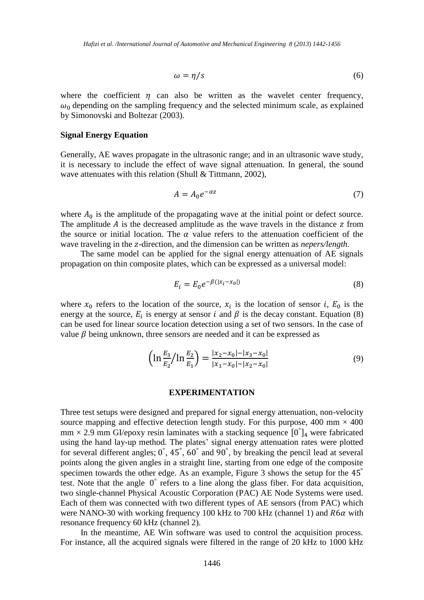$$
\omega = \eta/s \tag{6}
$$

where the coefficient  $\eta$  can also be written as the wavelet center frequency,  $\omega_0$  depending on the sampling frequency and the selected minimum scale, as explained by Simonovski and Boltezar (2003).

#### **Signal Energy Equation**

Generally, AE waves propagate in the ultrasonic range; and in an ultrasonic wave study, it is necessary to include the effect of wave signal attenuation. In general, the sound wave attenuates with this relation (Shull & Tittmann, 2002),

$$
A = A_0 e^{-\alpha z} \tag{7}
$$

where  $A_0$  is the amplitude of the propagating wave at the initial point or defect source. The amplitude  $\vec{A}$  is the decreased amplitude as the wave travels in the distance  $\vec{z}$  from the source or initial location. The  $\alpha$  value refers to the attenuation coefficient of the wave traveling in the z-direction, and the dimension can be written as *nepers/length*.

The same model can be applied for the signal energy attenuation of AE signals propagation on thin composite plates, which can be expressed as a universal model:

$$
E_i = E_0 e^{-\beta(|x_i - x_0|)}\tag{8}
$$

where  $x_0$  refers to the location of the source,  $x_i$  is the location of sensor i,  $E_0$  is the energy at the source,  $E_i$  is energy at sensor i and  $\beta$  is the decay constant. Equation (8) can be used for linear source location detection using a set of two sensors. In the case of value  $\beta$  being unknown, three sensors are needed and it can be expressed as

$$
\left(\ln \frac{E_3}{E_2} / \ln \frac{E_2}{E_1}\right) = \frac{|x_2 - x_0| - |x_3 - x_0|}{|x_1 - x_0| - |x_2 - x_0|}\tag{9}
$$

#### **EXPERIMENTATION**

Three test setups were designed and prepared for signal energy attenuation, non-velocity source mapping and effective detection length study. For this purpose, 400 mm  $\times$  400  $mm \times 2.9$  mm GI/epoxy resin laminates with a stacking sequence  $[0^{\degree}]_4$  were fabricated using the hand lay-up method. The plates' signal energy attenuation rates were plotted for several different angles;  $0^\circ$ ,  $45^\circ$ ,  $60^\circ$  and  $90^\circ$ , by breaking the pencil lead at several points along the given angles in a straight line, starting from one edge of the composite specimen towards the other edge. As an example, Figure 3 shows the setup for the 45<sup>°</sup> test. Note that the angle  $0^{\degree}$  refers to a line along the glass fiber. For data acquisition, two single-channel Physical Acoustic Corporation (PAC) AE Node Systems were used. Each of them was connected with two different types of AE sensors (from PAC) which were NANO-30 with working frequency 100 kHz to 700 kHz (channel 1) and  $R6\alpha$  with resonance frequency 60 kHz (channel 2).

In the meantime, AE Win software was used to control the acquisition process. For instance, all the acquired signals were filtered in the range of 20 kHz to 1000 kHz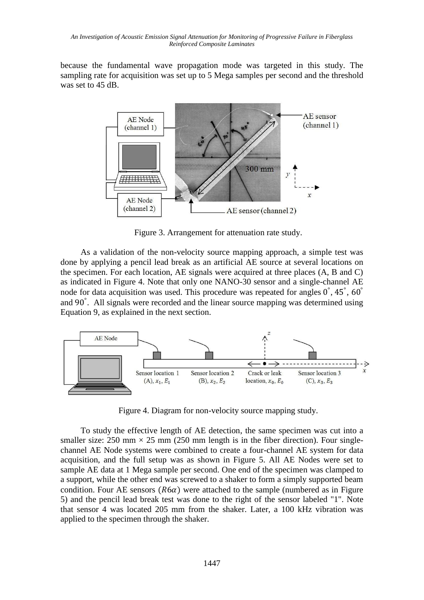because the fundamental wave propagation mode was targeted in this study. The sampling rate for acquisition was set up to 5 Mega samples per second and the threshold was set to 45 dB.



Figure 3. Arrangement for attenuation rate study.

As a validation of the non-velocity source mapping approach, a simple test was done by applying a pencil lead break as an artificial AE source at several locations on the specimen. For each location, AE signals were acquired at three places (A, B and C) as indicated in Figure 4. Note that only one NANO-30 sensor and a single-channel AE node for data acquisition was used. This procedure was repeated for angles  $0^{\circ}$ , 45<sup>°</sup>, and 90°. All signals were recorded and the linear source mapping was determined using Equation 9, as explained in the next section.



Figure 4. Diagram for non-velocity source mapping study.

To study the effective length of AE detection, the same specimen was cut into a smaller size: 250 mm  $\times$  25 mm (250 mm length is in the fiber direction). Four singlechannel AE Node systems were combined to create a four-channel AE system for data acquisition, and the full setup was as shown in Figure 5. All AE Nodes were set to sample AE data at 1 Mega sample per second. One end of the specimen was clamped to a support, while the other end was screwed to a shaker to form a simply supported beam condition. Four AE sensors ( $R6\alpha$ ) were attached to the sample (numbered as in Figure 5) and the pencil lead break test was done to the right of the sensor labeled "1". Note that sensor 4 was located 205 mm from the shaker. Later, a 100 kHz vibration was applied to the specimen through the shaker.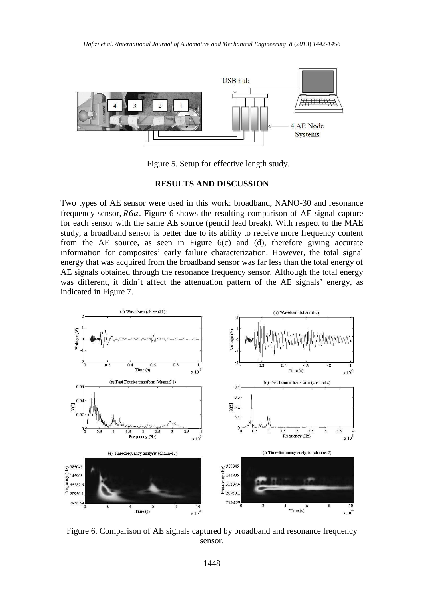

Figure 5. Setup for effective length study.

## **RESULTS AND DISCUSSION**

Two types of AE sensor were used in this work: broadband, NANO-30 and resonance frequency sensor,  $R6\alpha$ . Figure 6 shows the resulting comparison of AE signal capture for each sensor with the same AE source (pencil lead break). With respect to the MAE study, a broadband sensor is better due to its ability to receive more frequency content from the AE source, as seen in Figure 6(c) and (d), therefore giving accurate information for composites' early failure characterization. However, the total signal energy that was acquired from the broadband sensor was far less than the total energy of AE signals obtained through the resonance frequency sensor. Although the total energy was different, it didn't affect the attenuation pattern of the AE signals' energy, as indicated in Figure 7.



Figure 6. Comparison of AE signals captured by broadband and resonance frequency sensor.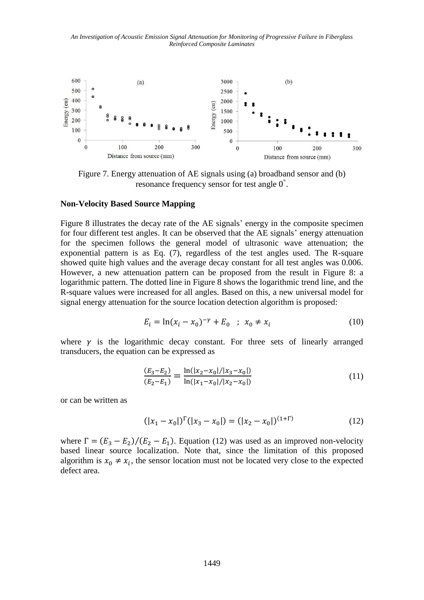*An Investigation of Acoustic Emission Signal Attenuation for Monitoring of Progressive Failure in Fiberglass Reinforced Composite Laminates*



Figure 7. Energy attenuation of AE signals using (a) broadband sensor and (b) resonance frequency sensor for test angle  $0^\circ$ .

## **Non-Velocity Based Source Mapping**

Figure 8 illustrates the decay rate of the AE signals' energy in the composite specimen for four different test angles. It can be observed that the AE signals' energy attenuation for the specimen follows the general model of ultrasonic wave attenuation; the exponential pattern is as Eq. (7), regardless of the test angles used. The R-square showed quite high values and the average decay constant for all test angles was 0.006. However, a new attenuation pattern can be proposed from the result in Figure 8: a logarithmic pattern. The dotted line in Figure 8 shows the logarithmic trend line, and the R-square values were increased for all angles. Based on this, a new universal model for signal energy attenuation for the source location detection algorithm is proposed:

$$
E_i = \ln(x_i - x_0)^{-\gamma} + E_0 \quad ; \quad x_0 \neq x_i \tag{10}
$$

where  $\gamma$  is the logarithmic decay constant. For three sets of linearly arranged transducers, the equation can be expressed as

$$
\frac{(E_3 - E_2)}{(E_2 - E_1)} = \frac{\ln(|x_2 - x_0| / |x_3 - x_0|)}{\ln(|x_1 - x_0| / |x_2 - x_0|)}\tag{11}
$$

or can be written as

$$
(|x_1 - x_0|)^{\Gamma} (|x_3 - x_0|) = (|x_2 - x_0|)^{(1+\Gamma)} \tag{12}
$$

where  $\Gamma = (E_3 - E_2)/(E_2 - E_1)$ . Equation (12) was used as an improved non-velocity based linear source localization. Note that, since the limitation of this proposed algorithm is  $x_0 \neq x_i$ , the sensor location must not be located very close to the expected defect area.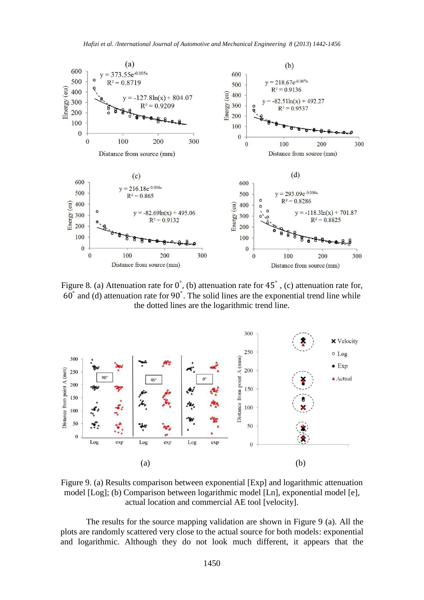

Figure 8. (a) Attenuation rate for  $0^{\degree}$ , (b) attenuation rate for 45 $^{\degree}$ , (c) attenuation rate for,  $60^{\degree}$  and (d) attenuation rate for  $90^{\degree}$ . The solid lines are the exponential trend line while the dotted lines are the logarithmic trend line.



Figure 9. (a) Results comparison between exponential [Exp] and logarithmic attenuation model [Log]; (b) Comparison between logarithmic model [Ln], exponential model [e], actual location and commercial AE tool [velocity].

The results for the source mapping validation are shown in Figure 9 (a). All the plots are randomly scattered very close to the actual source for both models: exponential and logarithmic. Although they do not look much different, it appears that the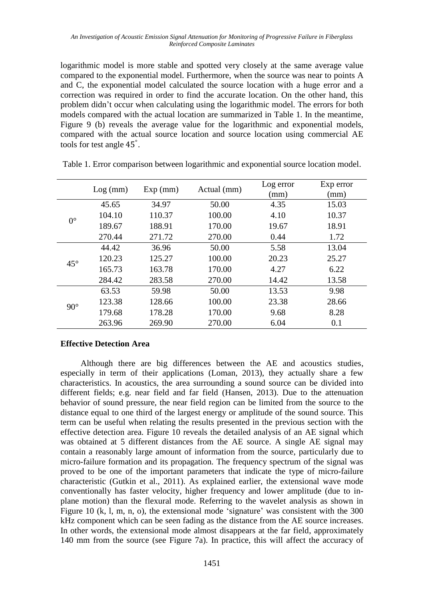logarithmic model is more stable and spotted very closely at the same average value compared to the exponential model. Furthermore, when the source was near to points A and C, the exponential model calculated the source location with a huge error and a correction was required in order to find the accurate location. On the other hand, this problem didn't occur when calculating using the logarithmic model. The errors for both models compared with the actual location are summarized in Table 1. In the meantime, Figure 9 (b) reveals the average value for the logarithmic and exponential models, compared with the actual source location and source location using commercial AE tools for test angle 45<sup>°</sup>.

|              | Log (mm) | Exp (mm) | Actual (mm) | Log error<br>(mm) | Exp error<br>(mm) |
|--------------|----------|----------|-------------|-------------------|-------------------|
| $0^{\circ}$  | 45.65    | 34.97    | 50.00       | 4.35              | 15.03             |
|              | 104.10   | 110.37   | 100.00      | 4.10              | 10.37             |
|              | 189.67   | 188.91   | 170.00      | 19.67             | 18.91             |
|              | 270.44   | 271.72   | 270.00      | 0.44              | 1.72              |
| $45^{\circ}$ | 44.42    | 36.96    | 50.00       | 5.58              | 13.04             |
|              | 120.23   | 125.27   | 100.00      | 20.23             | 25.27             |
|              | 165.73   | 163.78   | 170.00      | 4.27              | 6.22              |
|              | 284.42   | 283.58   | 270.00      | 14.42             | 13.58             |
| $90^\circ$   | 63.53    | 59.98    | 50.00       | 13.53             | 9.98              |
|              | 123.38   | 128.66   | 100.00      | 23.38             | 28.66             |
|              | 179.68   | 178.28   | 170.00      | 9.68              | 8.28              |
|              | 263.96   | 269.90   | 270.00      | 6.04              | 0.1               |

Table 1. Error comparison between logarithmic and exponential source location model.

## **Effective Detection Area**

Although there are big differences between the AE and acoustics studies, especially in term of their applications (Loman, 2013), they actually share a few characteristics. In acoustics, the area surrounding a sound source can be divided into different fields; e.g. near field and far field (Hansen, 2013). Due to the attenuation behavior of sound pressure, the near field region can be limited from the source to the distance equal to one third of the largest energy or amplitude of the sound source. This term can be useful when relating the results presented in the previous section with the effective detection area. Figure 10 reveals the detailed analysis of an AE signal which was obtained at 5 different distances from the AE source. A single AE signal may contain a reasonably large amount of information from the source, particularly due to micro-failure formation and its propagation. The frequency spectrum of the signal was proved to be one of the important parameters that indicate the type of micro-failure characteristic (Gutkin et al., 2011). As explained earlier, the extensional wave mode conventionally has faster velocity, higher frequency and lower amplitude (due to inplane motion) than the flexural mode. Referring to the wavelet analysis as shown in Figure 10 (k, l, m, n, o), the extensional mode 'signature' was consistent with the 300 kHz component which can be seen fading as the distance from the AE source increases. In other words, the extensional mode almost disappears at the far field, approximately 140 mm from the source (see Figure 7a). In practice, this will affect the accuracy of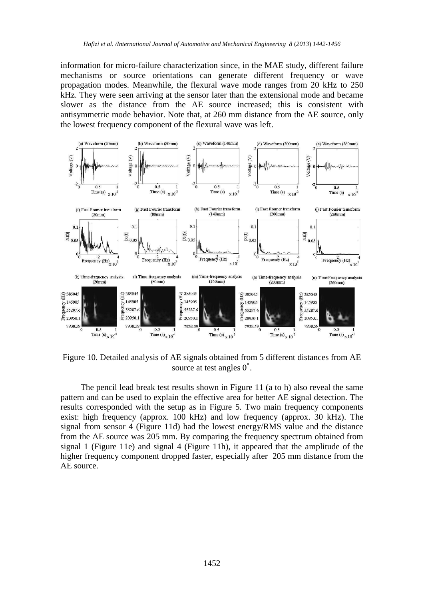information for micro-failure characterization since, in the MAE study, different failure mechanisms or source orientations can generate different frequency or wave propagation modes. Meanwhile, the flexural wave mode ranges from 20 kHz to 250 kHz. They were seen arriving at the sensor later than the extensional mode and became slower as the distance from the AE source increased; this is consistent with antisymmetric mode behavior. Note that, at 260 mm distance from the AE source, only the lowest frequency component of the flexural wave was left.



Figure 10. Detailed analysis of AE signals obtained from 5 different distances from AE source at test angles  $0^\circ$ .

The pencil lead break test results shown in Figure 11 (a to h) also reveal the same pattern and can be used to explain the effective area for better AE signal detection. The results corresponded with the setup as in Figure 5. Two main frequency components exist: high frequency (approx. 100 kHz) and low frequency (approx. 30 kHz). The signal from sensor 4 (Figure 11d) had the lowest energy/RMS value and the distance from the AE source was 205 mm. By comparing the frequency spectrum obtained from signal 1 (Figure 11e) and signal 4 (Figure 11h), it appeared that the amplitude of the higher frequency component dropped faster, especially after 205 mm distance from the AE source.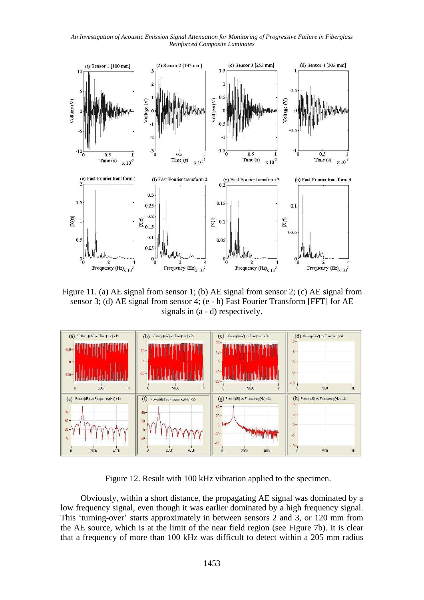*An Investigation of Acoustic Emission Signal Attenuation for Monitoring of Progressive Failure in Fiberglass Reinforced Composite Laminates*



Figure 11. (a) AE signal from sensor 1; (b) AE signal from sensor 2; (c) AE signal from sensor 3; (d) AE signal from sensor 4; (e - h) Fast Fourier Transform [FFT] for AE signals in (a - d) respectively.



Figure 12. Result with 100 kHz vibration applied to the specimen.

Obviously, within a short distance, the propagating AE signal was dominated by a low frequency signal, even though it was earlier dominated by a high frequency signal. This 'turning-over' starts approximately in between sensors 2 and 3, or 120 mm from the AE source, which is at the limit of the near field region (see Figure 7b). It is clear that a frequency of more than 100 kHz was difficult to detect within a 205 mm radius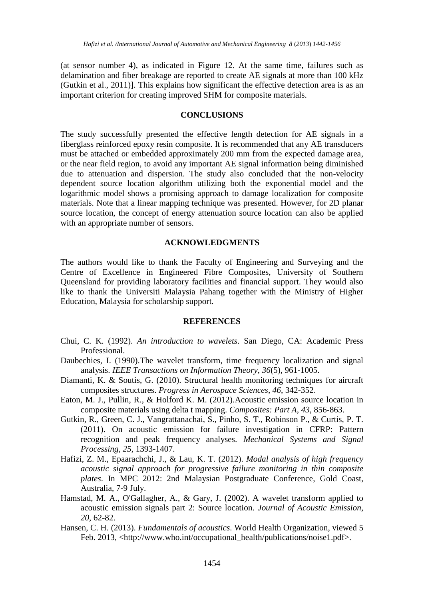(at sensor number 4), as indicated in Figure 12. At the same time, failures such as delamination and fiber breakage are reported to create AE signals at more than 100 kHz (Gutkin et al., 2011)]. This explains how significant the effective detection area is as an important criterion for creating improved SHM for composite materials.

## **CONCLUSIONS**

The study successfully presented the effective length detection for AE signals in a fiberglass reinforced epoxy resin composite. It is recommended that any AE transducers must be attached or embedded approximately 200 mm from the expected damage area, or the near field region, to avoid any important AE signal information being diminished due to attenuation and dispersion. The study also concluded that the non-velocity dependent source location algorithm utilizing both the exponential model and the logarithmic model shows a promising approach to damage localization for composite materials. Note that a linear mapping technique was presented. However, for 2D planar source location, the concept of energy attenuation source location can also be applied with an appropriate number of sensors.

## **ACKNOWLEDGMENTS**

The authors would like to thank the Faculty of Engineering and Surveying and the Centre of Excellence in Engineered Fibre Composites, University of Southern Queensland for providing laboratory facilities and financial support. They would also like to thank the Universiti Malaysia Pahang together with the Ministry of Higher Education, Malaysia for scholarship support.

## **REFERENCES**

- Chui, C. K. (1992). *An introduction to wavelets*. San Diego, CA: Academic Press Professional.
- Daubechies, I. (1990).The wavelet transform, time frequency localization and signal analysis. *IEEE Transactions on Information Theory*, *36*(5), 961-1005.
- Diamanti, K. & Soutis, G. (2010). Structural health monitoring techniques for aircraft composites structures. *Progress in Aerospace Sciences, 46*, 342-352.
- Eaton, M. J., Pullin, R., & Holford K. M. (2012).Acoustic emission source location in composite materials using delta t mapping. *Composites: Part A*, *43*, 856-863.
- Gutkin, R., Green, C. J., Vangrattanachai, S., Pinho, S. T., Robinson P., & Curtis, P. T. (2011). On acoustic emission for failure investigation in CFRP: Pattern recognition and peak frequency analyses. *Mechanical Systems and Signal Processing, 25*, 1393-1407.
- Hafizi, Z. M., Epaarachchi, J., & Lau, K. T. (2012). *Modal analysis of high frequency acoustic signal approach for progressive failure monitoring in thin composite plates*. In MPC 2012: 2nd Malaysian Postgraduate Conference, Gold Coast, Australia, 7-9 July.
- Hamstad, M. A., O'Gallagher, A., & Gary, J. (2002). A wavelet transform applied to acoustic emission signals part 2: Source location. *Journal of Acoustic Emission, 20*, 62-82.
- Hansen, C. H. (2013). *Fundamentals of acoustics*. World Health Organization, viewed 5 Feb. 2013, <http://www.who.int/occupational\_health/publications/noise1.pdf>.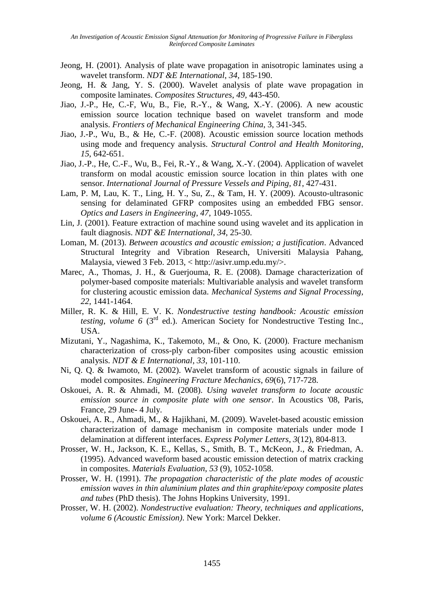- Jeong, H. (2001). Analysis of plate wave propagation in anisotropic laminates using a wavelet transform. *NDT &E International*, *34*, 185-190.
- Jeong, H. & Jang, Y. S. (2000). Wavelet analysis of plate wave propagation in composite laminates. *Composites Structures*, *49,* 443-450.
- Jiao, J.-P., He, C.-F, Wu, B., Fie, R.-Y., & Wang, X.-Y. (2006). A new acoustic emission source location technique based on wavelet transform and mode analysis. *Frontiers of Mechanical Engineering China*, 3, 341-345.
- Jiao, J.-P., Wu, B., & He, C.-F. (2008). Acoustic emission source location methods using mode and frequency analysis. *Structural Control and Health Monitoring*, *15*, 642-651.
- Jiao, J.-P., He, C.-F., Wu, B., Fei, R.-Y., & Wang, X.-Y. (2004). Application of wavelet transform on modal acoustic emission source location in thin plates with one sensor. *International Journal of Pressure Vessels and Piping*, *81*, 427-431.
- Lam, P. M, Lau, K. T., Ling, H. Y., Su, Z., & Tam, H. Y. (2009). Acousto-ultrasonic sensing for delaminated GFRP composites using an embedded FBG sensor. *Optics and Lasers in Engineering*, *47*, 1049-1055.
- Lin, J. (2001). Feature extraction of machine sound using wavelet and its application in fault diagnosis. *NDT &E International*, *34*, 25-30.
- Loman, M. (2013). *Between acoustics and acoustic emission; a justification*. Advanced Structural Integrity and Vibration Research, Universiti Malaysia Pahang, Malaysia, viewed 3 Feb. 2013, < http://asivr.ump.edu.my/>.
- Marec, A., Thomas, J. H., & Guerjouma, R. E. (2008). Damage characterization of polymer-based composite materials: Multivariable analysis and wavelet transform for clustering acoustic emission data. *Mechanical Systems and Signal Processing*, *22*, 1441-1464.
- Miller, R. K. & Hill, E. V. K. *Nondestructive testing handbook: Acoustic emission testing, volume 6* ( $3<sup>rd</sup>$  ed.). American Society for Nondestructive Testing Inc., USA.
- Mizutani, Y., Nagashima, K., Takemoto, M., & Ono, K. (2000). Fracture mechanism characterization of cross-ply carbon-fiber composites using acoustic emission analysis. *NDT & E International*, *33*, 101-110.
- Ni, Q. Q. & Iwamoto, M. (2002). Wavelet transform of acoustic signals in failure of model composites. *Engineering Fracture Mechanics*, *69*(6), 717-728.
- Oskouei, A. R. & Ahmadi, M. (2008). *Using wavelet transform to locate acoustic emission source in composite plate with one sensor*. In Acoustics '08, Paris, France, 29 June- 4 July.
- Oskouei, A. R., Ahmadi, M., & Hajikhani, M. (2009). Wavelet-based acoustic emission characterization of damage mechanism in composite materials under mode I delamination at different interfaces. *Express Polymer Letters*, *3*(12), 804-813.
- Prosser, W. H., Jackson, K. E., Kellas, S., Smith, B. T., McKeon, J., & Friedman, A. (1995). Advanced waveform based acoustic emission detection of matrix cracking in composites. *Materials Evaluation*, *53* (9), 1052-1058.
- Prosser, W. H. (1991). *The propagation characteristic of the plate modes of acoustic emission waves in thin aluminium plates and thin graphite/epoxy composite plates and tubes* (PhD thesis). The Johns Hopkins University, 1991.
- Prosser, W. H. (2002). *Nondestructive evaluation: Theory, techniques and applications*, *volume 6 (Acoustic Emission)*. New York: Marcel Dekker.